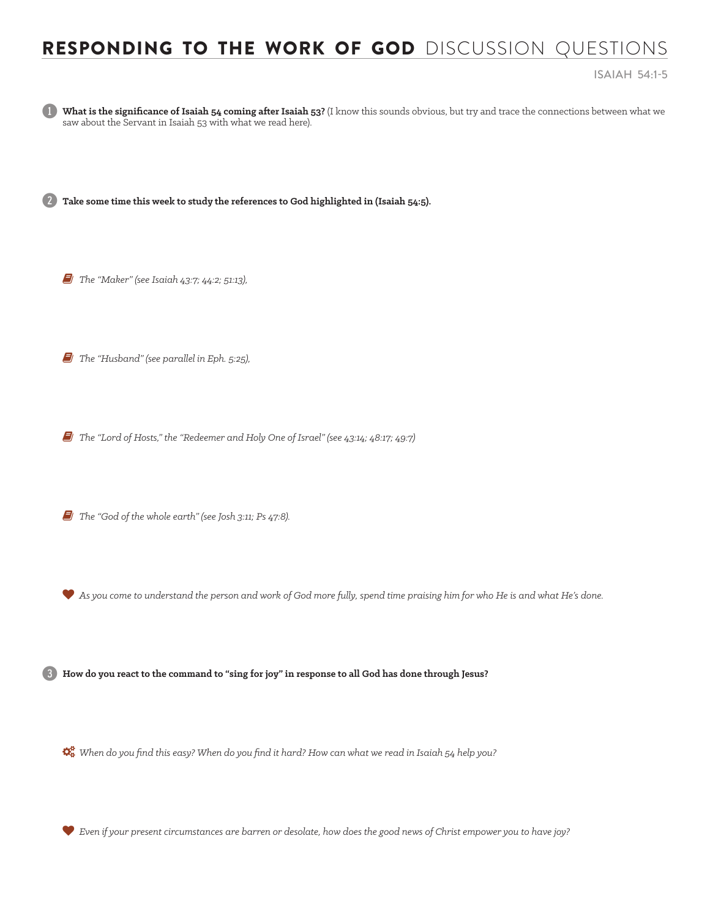## RESPONDING TO THE WORK OF GOD DISCUSSION QUESTIONS

ISAIAH 54:1-5



What is the significance of Isaiah 54 coming after Isaiah 53? (I know this sounds obvious, but try and trace the connections between what we saw about the Servant in Isaiah 53 with what we read here).

2 **Take some time this week to study the references to God highlighted in (Isaiah 54:5).** 

*F* The "Maker" (see Isaiah 43:7; 44:2; 51:13),

6 *The "Husband" (see parallel in Eph. 5:25),* 

6 *The "Lord of Hosts," the "Redeemer and Holy One of Israel" (see 43:14; 48:17; 49:7)*

6 *The "God of the whole earth" (see Josh 3:11; Ps 47:8).* 

*As you come to understand the person and work of God more fully, spend time praising him for who He is and what He's done.* 

3 **How do you react to the command to "sing for joy" in response to all God has done through Jesus?** 

*When do you find this easy? When do you find it hard? How can what we read in Isaiah 54 help you?* 

*Even if your present circumstances are barren or desolate, how does the good news of Christ empower you to have joy?*